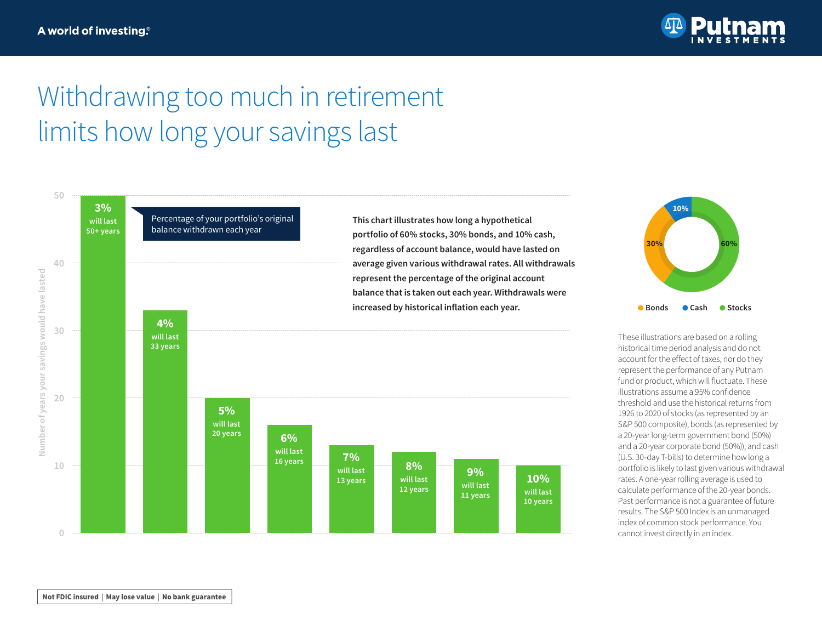

## Withdrawing too much in retirement limits how long your savings last



fund or product, which will fluctuate. These illustrations assume a 95% confidence threshold and use the historical returns from 1926 to 2020 of stocks (as represented by an S&P 500 composite), bonds (as represented by a 20-year long-term government bond (50%) and a 20-year corporate bond (50%)), and cash (U.S. 30-day T-bills) to determine how long a portfolio is likely to last given various withdrawal rates. A one-year rolling average is used to calculate performance of the 20-year bonds. Past performance is not a guarantee of future results. The S&P 500 Index is an unmanaged index of common stock performance. You

Not FDIC insured | May lose value | No bank guarantee